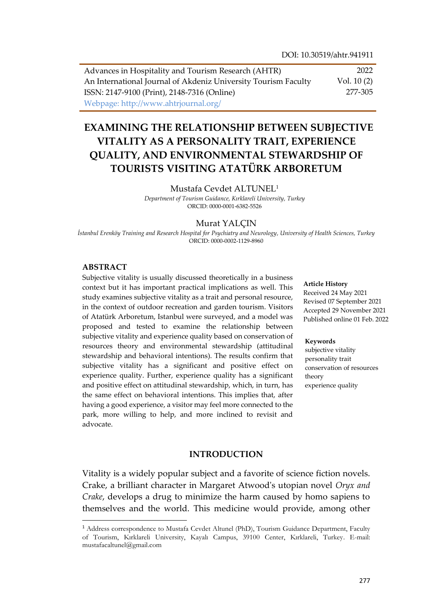Advances in Hospitality and Tourism Research (AHTR) An International Journal of Akdeniz University Tourism Faculty ISSN: 2147-9100 (Print), 2148-7316 (Online) Webpage: http://www.ahtrjournal.org/ 2022 Vol. 10 (2) 277-305

# **EXAMINING THE RELATIONSHIP BETWEEN SUBJECTIVE VITALITY AS A PERSONALITY TRAIT, EXPERIENCE QUALITY, AND ENVIRONMENTAL STEWARDSHIP OF TOURISTS VISITING ATATÜRK ARBORETUM**

Mustafa Cevdet ALTUNEL<sup>1</sup>

*Department of Tourism Guidance, Kırklareli University, Turkey* ORCID: 0000-0001-6382-5526

### Murat YALÇIN

*İstanbul Erenköy Training and Research Hospital for Psychiatry and Neurology, University of Health Sciences, Turkey* ORCID: 0000-0002-1129-8960

### **ABSTRACT**

 $\overline{a}$ 

Subjective vitality is usually discussed theoretically in a business context but it has important practical implications as well. This study examines subjective vitality as a trait and personal resource, in the context of outdoor recreation and garden tourism. Visitors of Atatürk Arboretum, Istanbul were surveyed, and a model was proposed and tested to examine the relationship between subjective vitality and experience quality based on conservation of resources theory and environmental stewardship (attitudinal stewardship and behavioral intentions). The results confirm that subjective vitality has a significant and positive effect on experience quality. Further, experience quality has a significant and positive effect on attitudinal stewardship, which, in turn, has the same effect on behavioral intentions. This implies that, after having a good experience, a visitor may feel more connected to the park, more willing to help, and more inclined to revisit and advocate.

#### **Article History**

Received 24 May 2021 Revised 07 September 2021 Accepted 29 November 2021 Published online 01 Feb. 2022

#### **Keywords**

subjective vitality personality trait conservation of resources theory experience quality

### **INTRODUCTION**

Vitality is a widely popular subject and a favorite of science fiction novels. Crake, a brilliant character in Margaret Atwood's utopian novel *Oryx and Crake*, develops a drug to minimize the harm caused by homo sapiens to themselves and the world. This medicine would provide, among other

<sup>1</sup> Address correspondence to Mustafa Cevdet Altunel (PhD), Tourism Guidance Department, Faculty of Tourism, Kırklareli University, Kayalı Campus, 39100 Center, Kırklareli, Turkey. E-mail: mustafacaltunel@gmail.com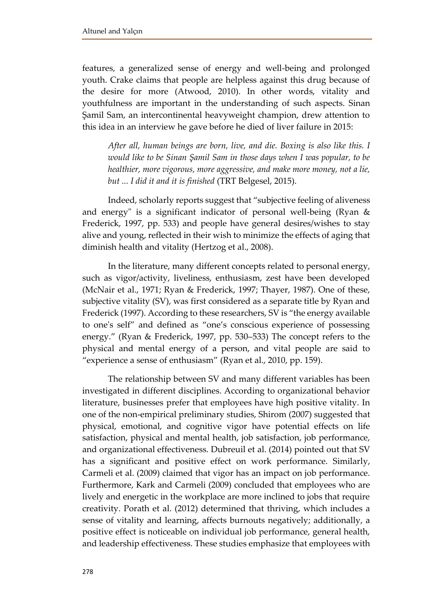features, a generalized sense of energy and well-being and prolonged youth. Crake claims that people are helpless against this drug because of the desire for more (Atwood, 2010). In other words, vitality and youthfulness are important in the understanding of such aspects. Sinan Şamil Sam, an intercontinental heavyweight champion, drew attention to this idea in an interview he gave before he died of liver failure in 2015:

*After all, human beings are born, live, and die. Boxing is also like this. I would like to be Sinan Şamil Sam in those days when I was popular, to be healthier, more vigorous, more aggressive, and make more money, not a lie, but ... I did it and it is finished* (TRT Belgesel, 2015).

Indeed, scholarly reports suggest that "subjective feeling of aliveness and energy" is a significant indicator of personal well-being (Ryan & Frederick, 1997, pp. 533) and people have general desires/wishes to stay alive and young, reflected in their wish to minimize the effects of aging that diminish health and vitality (Hertzog et al., 2008).

In the literature, many different concepts related to personal energy, such as vigor/activity, liveliness, enthusiasm, zest have been developed (McNair et al., 1971; Ryan & Frederick, 1997; Thayer, 1987). One of these, subjective vitality (SV), was first considered as a separate title by Ryan and Frederick (1997). According to these researchers, SV is "the energy available to one's self" and defined as "one's conscious experience of possessing energy." (Ryan & Frederick, 1997, pp. 530–533) The concept refers to the physical and mental energy of a person, and vital people are said to "experience a sense of enthusiasm" (Ryan et al., 2010, pp. 159).

The relationship between SV and many different variables has been investigated in different disciplines. According to organizational behavior literature, businesses prefer that employees have high positive vitality. In one of the non-empirical preliminary studies, Shirom (2007) suggested that physical, emotional, and cognitive vigor have potential effects on life satisfaction, physical and mental health, job satisfaction, job performance, and organizational effectiveness. Dubreuil et al. (2014) pointed out that SV has a significant and positive effect on work performance. Similarly, Carmeli et al. (2009) claimed that vigor has an impact on job performance. Furthermore, Kark and Carmeli (2009) concluded that employees who are lively and energetic in the workplace are more inclined to jobs that require creativity. Porath et al. (2012) determined that thriving, which includes a sense of vitality and learning, affects burnouts negatively; additionally, a positive effect is noticeable on individual job performance, general health, and leadership effectiveness. These studies emphasize that employees with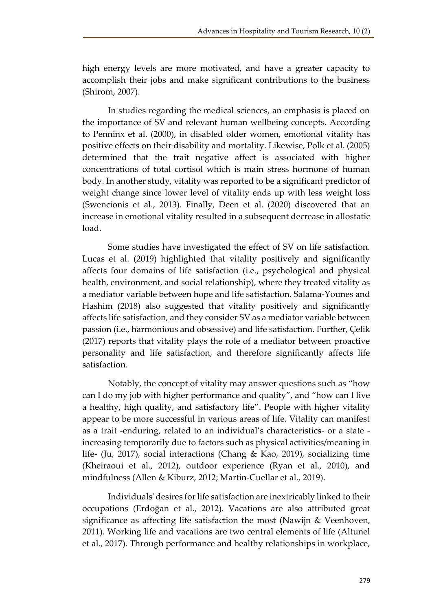high energy levels are more motivated, and have a greater capacity to accomplish their jobs and make significant contributions to the business (Shirom, 2007).

In studies regarding the medical sciences, an emphasis is placed on the importance of SV and relevant human wellbeing concepts. According to Penninx et al. (2000), in disabled older women, emotional vitality has positive effects on their disability and mortality. Likewise, Polk et al. (2005) determined that the trait negative affect is associated with higher concentrations of total cortisol which is main stress hormone of human body. In another study, vitality was reported to be a significant predictor of weight change since lower level of vitality ends up with less weight loss (Swencionis et al., 2013). Finally, Deen et al. (2020) discovered that an increase in emotional vitality resulted in a subsequent decrease in allostatic load.

Some studies have investigated the effect of SV on life satisfaction. Lucas et al. (2019) highlighted that vitality positively and significantly affects four domains of life satisfaction (i.e., psychological and physical health, environment, and social relationship), where they treated vitality as a mediator variable between hope and life satisfaction. Salama-Younes and Hashim (2018) also suggested that vitality positively and significantly affects life satisfaction, and they consider SV as a mediator variable between passion (i.e., harmonious and obsessive) and life satisfaction. Further, Çelik (2017) reports that vitality plays the role of a mediator between proactive personality and life satisfaction, and therefore significantly affects life satisfaction.

Notably, the concept of vitality may answer questions such as "how can I do my job with higher performance and quality", and "how can I live a healthy, high quality, and satisfactory life". People with higher vitality appear to be more successful in various areas of life. Vitality can manifest as a trait -enduring, related to an individual's characteristics- or a state increasing temporarily due to factors such as physical activities/meaning in life- (Ju, 2017), social interactions (Chang & Kao, 2019), socializing time (Kheiraoui et al., 2012), outdoor experience (Ryan et al., 2010), and mindfulness (Allen & Kiburz, 2012; Martin-Cuellar et al., 2019).

Individuals' desires for life satisfaction are inextricably linked to their occupations (Erdoğan et al., 2012). Vacations are also attributed great significance as affecting life satisfaction the most (Nawijn & Veenhoven, 2011). Working life and vacations are two central elements of life (Altunel et al., 2017). Through performance and healthy relationships in workplace,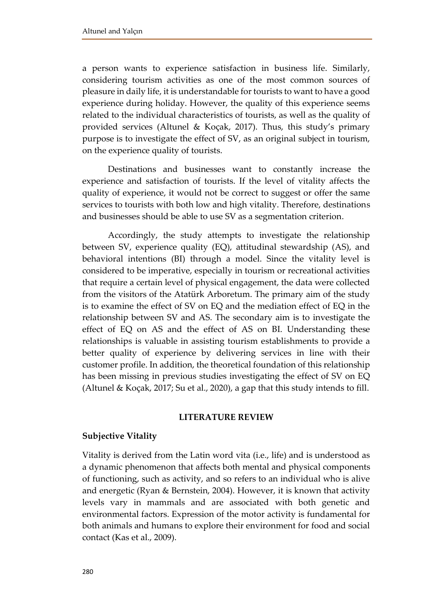a person wants to experience satisfaction in business life. Similarly, considering tourism activities as one of the most common sources of pleasure in daily life, it is understandable for tourists to want to have a good experience during holiday. However, the quality of this experience seems related to the individual characteristics of tourists, as well as the quality of provided services (Altunel & Koçak, 2017). Thus, this study's primary purpose is to investigate the effect of SV, as an original subject in tourism, on the experience quality of tourists.

Destinations and businesses want to constantly increase the experience and satisfaction of tourists. If the level of vitality affects the quality of experience, it would not be correct to suggest or offer the same services to tourists with both low and high vitality. Therefore, destinations and businesses should be able to use SV as a segmentation criterion.

Accordingly, the study attempts to investigate the relationship between SV, experience quality (EQ), attitudinal stewardship (AS), and behavioral intentions (BI) through a model. Since the vitality level is considered to be imperative, especially in tourism or recreational activities that require a certain level of physical engagement, the data were collected from the visitors of the Atatürk Arboretum. The primary aim of the study is to examine the effect of SV on EQ and the mediation effect of EQ in the relationship between SV and AS. The secondary aim is to investigate the effect of EQ on AS and the effect of AS on BI. Understanding these relationships is valuable in assisting tourism establishments to provide a better quality of experience by delivering services in line with their customer profile. In addition, the theoretical foundation of this relationship has been missing in previous studies investigating the effect of SV on EQ (Altunel & Koçak, 2017; Su et al., 2020), a gap that this study intends to fill.

### **LITERATURE REVIEW**

# **Subjective Vitality**

Vitality is derived from the Latin word vita (i.e., life) and is understood as a dynamic phenomenon that affects both mental and physical components of functioning, such as activity, and so refers to an individual who is alive and energetic (Ryan & Bernstein, 2004). However, it is known that activity levels vary in mammals and are associated with both genetic and environmental factors. Expression of the motor activity is fundamental for both animals and humans to explore their environment for food and social contact (Kas et al., 2009).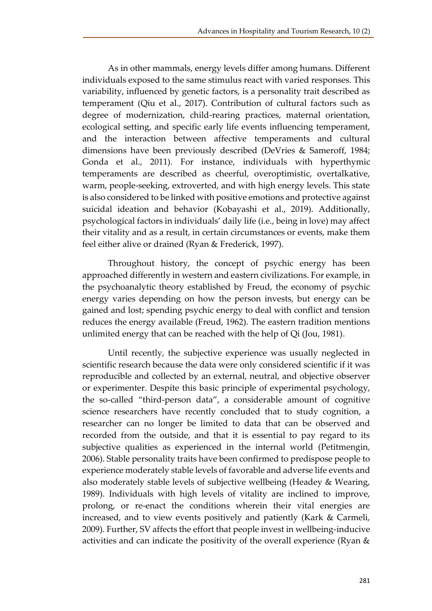As in other mammals, energy levels differ among humans. Different individuals exposed to the same stimulus react with varied responses. This variability, influenced by genetic factors, is a personality trait described as temperament (Qiu et al., 2017). Contribution of cultural factors such as degree of modernization, child-rearing practices, maternal orientation, ecological setting, and specific early life events influencing temperament, and the interaction between affective temperaments and cultural dimensions have been previously described (DeVries & Sameroff, 1984; Gonda et al., 2011). For instance, individuals with hyperthymic temperaments are described as cheerful, overoptimistic, overtalkative, warm, people-seeking, extroverted, and with high energy levels. This state is also considered to be linked with positive emotions and protective against suicidal ideation and behavior (Kobayashi et al., 2019). Additionally, psychological factors in individuals' daily life (i.e., being in love) may affect their vitality and as a result, in certain circumstances or events, make them feel either alive or drained (Ryan & Frederick, 1997).

Throughout history, the concept of psychic energy has been approached differently in western and eastern civilizations. For example, in the psychoanalytic theory established by Freud, the economy of psychic energy varies depending on how the person invests, but energy can be gained and lost; spending psychic energy to deal with conflict and tension reduces the energy available (Freud, 1962). The eastern tradition mentions unlimited energy that can be reached with the help of Qi (Jou, 1981).

Until recently, the subjective experience was usually neglected in scientific research because the data were only considered scientific if it was reproducible and collected by an external, neutral, and objective observer or experimenter. Despite this basic principle of experimental psychology, the so-called "third-person data", a considerable amount of cognitive science researchers have recently concluded that to study cognition, a researcher can no longer be limited to data that can be observed and recorded from the outside, and that it is essential to pay regard to its subjective qualities as experienced in the internal world (Petitmengin, 2006). Stable personality traits have been confirmed to predispose people to experience moderately stable levels of favorable and adverse life events and also moderately stable levels of subjective wellbeing (Headey & Wearing, 1989). Individuals with high levels of vitality are inclined to improve, prolong, or re-enact the conditions wherein their vital energies are increased, and to view events positively and patiently (Kark & Carmeli, 2009). Further, SV affects the effort that people invest in wellbeing-inducive activities and can indicate the positivity of the overall experience (Ryan &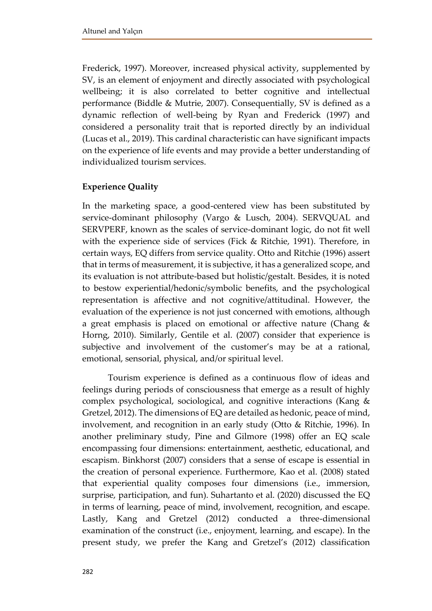Frederick, 1997). Moreover, increased physical activity, supplemented by SV, is an element of enjoyment and directly associated with psychological wellbeing; it is also correlated to better cognitive and intellectual performance (Biddle & Mutrie, 2007). Consequentially, SV is defined as a dynamic reflection of well-being by Ryan and Frederick (1997) and considered a personality trait that is reported directly by an individual (Lucas et al., 2019). This cardinal characteristic can have significant impacts on the experience of life events and may provide a better understanding of individualized tourism services.

# **Experience Quality**

In the marketing space, a good-centered view has been substituted by service-dominant philosophy (Vargo & Lusch, 2004). SERVQUAL and SERVPERF, known as the scales of service-dominant logic, do not fit well with the experience side of services (Fick & Ritchie, 1991). Therefore, in certain ways, EQ differs from service quality. Otto and Ritchie (1996) assert that in terms of measurement, it is subjective, it has a generalized scope, and its evaluation is not attribute-based but holistic/gestalt. Besides, it is noted to bestow experiential/hedonic/symbolic benefits, and the psychological representation is affective and not cognitive/attitudinal. However, the evaluation of the experience is not just concerned with emotions, although a great emphasis is placed on emotional or affective nature (Chang & Horng, 2010). Similarly, Gentile et al. (2007) consider that experience is subjective and involvement of the customer's may be at a rational, emotional, sensorial, physical, and/or spiritual level.

Tourism experience is defined as a continuous flow of ideas and feelings during periods of consciousness that emerge as a result of highly complex psychological, sociological, and cognitive interactions (Kang & Gretzel, 2012). The dimensions of EQ are detailed as hedonic, peace of mind, involvement, and recognition in an early study (Otto & Ritchie, 1996). In another preliminary study, Pine and Gilmore (1998) offer an EQ scale encompassing four dimensions: entertainment, aesthetic, educational, and escapism. Binkhorst (2007) considers that a sense of escape is essential in the creation of personal experience. Furthermore, Kao et al. (2008) stated that experiential quality composes four dimensions (i.e., immersion, surprise, participation, and fun). Suhartanto et al. (2020) discussed the EQ in terms of learning, peace of mind, involvement, recognition, and escape. Lastly, Kang and Gretzel (2012) conducted a three-dimensional examination of the construct (i.e., enjoyment, learning, and escape). In the present study, we prefer the Kang and Gretzel's (2012) classification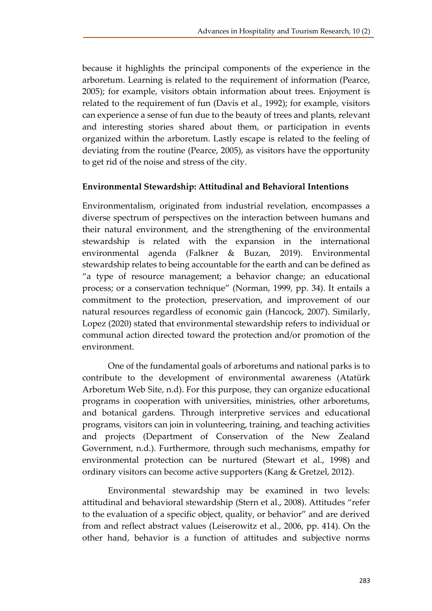because it highlights the principal components of the experience in the arboretum. Learning is related to the requirement of information (Pearce, 2005); for example, visitors obtain information about trees. Enjoyment is related to the requirement of fun (Davis et al., 1992); for example, visitors can experience a sense of fun due to the beauty of trees and plants, relevant and interesting stories shared about them, or participation in events organized within the arboretum. Lastly escape is related to the feeling of deviating from the routine (Pearce, 2005), as visitors have the opportunity to get rid of the noise and stress of the city.

# **Environmental Stewardship: Attitudinal and Behavioral Intentions**

Environmentalism, originated from industrial revelation, encompasses a diverse spectrum of perspectives on the interaction between humans and their natural environment, and the strengthening of the environmental stewardship is related with the expansion in the international environmental agenda (Falkner & Buzan, 2019). Environmental stewardship relates to being accountable for the earth and can be defined as "a type of resource management; a behavior change; an educational process; or a conservation technique" (Norman, 1999, pp. 34). It entails a commitment to the protection, preservation, and improvement of our natural resources regardless of economic gain (Hancock, 2007). Similarly, Lopez (2020) stated that environmental stewardship refers to individual or communal action directed toward the protection and/or promotion of the environment.

One of the fundamental goals of arboretums and national parks is to contribute to the development of environmental awareness (Atatürk Arboretum Web Site, n.d). For this purpose, they can organize educational programs in cooperation with universities, ministries, other arboretums, and botanical gardens. Through interpretive services and educational programs, visitors can join in volunteering, training, and teaching activities and projects (Department of Conservation of the New Zealand Government, n.d.). Furthermore, through such mechanisms, empathy for environmental protection can be nurtured (Stewart et al., 1998) and ordinary visitors can become active supporters (Kang & Gretzel, 2012).

Environmental stewardship may be examined in two levels: attitudinal and behavioral stewardship (Stern et al., 2008). Attitudes "refer to the evaluation of a specific object, quality, or behavior" and are derived from and reflect abstract values (Leiserowitz et al., 2006, pp. 414). On the other hand, behavior is a function of attitudes and subjective norms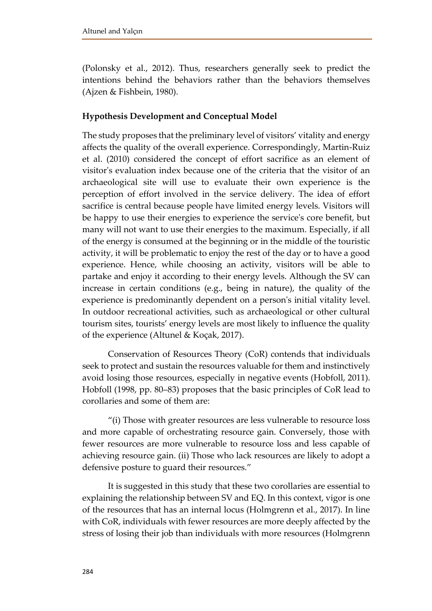(Polonsky et al., 2012). Thus, researchers generally seek to predict the intentions behind the behaviors rather than the behaviors themselves (Ajzen & Fishbein, 1980).

# **Hypothesis Development and Conceptual Model**

The study proposes that the preliminary level of visitors' vitality and energy affects the quality of the overall experience. Correspondingly, Martin-Ruiz et al. (2010) considered the concept of effort sacrifice as an element of visitor's evaluation index because one of the criteria that the visitor of an archaeological site will use to evaluate their own experience is the perception of effort involved in the service delivery. The idea of effort sacrifice is central because people have limited energy levels. Visitors will be happy to use their energies to experience the service's core benefit, but many will not want to use their energies to the maximum. Especially, if all of the energy is consumed at the beginning or in the middle of the touristic activity, it will be problematic to enjoy the rest of the day or to have a good experience. Hence, while choosing an activity, visitors will be able to partake and enjoy it according to their energy levels. Although the SV can increase in certain conditions (e.g., being in nature), the quality of the experience is predominantly dependent on a person's initial vitality level. In outdoor recreational activities, such as archaeological or other cultural tourism sites, tourists' energy levels are most likely to influence the quality of the experience (Altunel & Koçak, 2017).

Conservation of Resources Theory (CoR) contends that individuals seek to protect and sustain the resources valuable for them and instinctively avoid losing those resources, especially in negative events (Hobfoll, 2011). Hobfoll (1998, pp. 80–83) proposes that the basic principles of CoR lead to corollaries and some of them are:

"(i) Those with greater resources are less vulnerable to resource loss and more capable of orchestrating resource gain. Conversely, those with fewer resources are more vulnerable to resource loss and less capable of achieving resource gain. (ii) Those who lack resources are likely to adopt a defensive posture to guard their resources."

It is suggested in this study that these two corollaries are essential to explaining the relationship between SV and EQ. In this context, vigor is one of the resources that has an internal locus (Holmgrenn et al., 2017). In line with CoR, individuals with fewer resources are more deeply affected by the stress of losing their job than individuals with more resources (Holmgrenn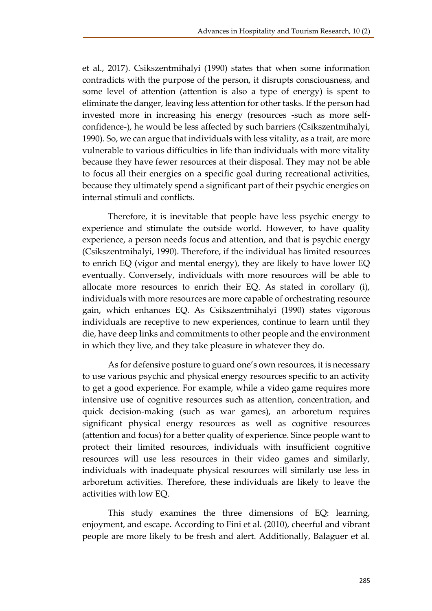et al., 2017). Csikszentmihalyi (1990) states that when some information contradicts with the purpose of the person, it disrupts consciousness, and some level of attention (attention is also a type of energy) is spent to eliminate the danger, leaving less attention for other tasks. If the person had invested more in increasing his energy (resources -such as more selfconfidence-), he would be less affected by such barriers (Csikszentmihalyi, 1990). So, we can argue that individuals with less vitality, as a trait, are more vulnerable to various difficulties in life than individuals with more vitality because they have fewer resources at their disposal. They may not be able to focus all their energies on a specific goal during recreational activities, because they ultimately spend a significant part of their psychic energies on internal stimuli and conflicts.

Therefore, it is inevitable that people have less psychic energy to experience and stimulate the outside world. However, to have quality experience, a person needs focus and attention, and that is psychic energy (Csikszentmihalyi, 1990). Therefore, if the individual has limited resources to enrich EQ (vigor and mental energy), they are likely to have lower EQ eventually. Conversely, individuals with more resources will be able to allocate more resources to enrich their EQ. As stated in corollary (i), individuals with more resources are more capable of orchestrating resource gain, which enhances EQ. As Csikszentmihalyi (1990) states vigorous individuals are receptive to new experiences, continue to learn until they die, have deep links and commitments to other people and the environment in which they live, and they take pleasure in whatever they do.

As for defensive posture to guard one's own resources, it is necessary to use various psychic and physical energy resources specific to an activity to get a good experience. For example, while a video game requires more intensive use of cognitive resources such as attention, concentration, and quick decision-making (such as war games), an arboretum requires significant physical energy resources as well as cognitive resources (attention and focus) for a better quality of experience. Since people want to protect their limited resources, individuals with insufficient cognitive resources will use less resources in their video games and similarly, individuals with inadequate physical resources will similarly use less in arboretum activities. Therefore, these individuals are likely to leave the activities with low EQ.

This study examines the three dimensions of EQ: learning, enjoyment, and escape. According to Fini et al. (2010), cheerful and vibrant people are more likely to be fresh and alert. Additionally, Balaguer et al.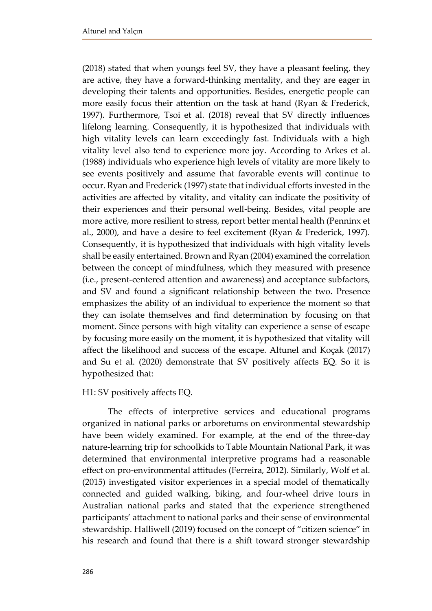(2018) stated that when youngs feel SV, they have a pleasant feeling, they are active, they have a forward-thinking mentality, and they are eager in developing their talents and opportunities. Besides, energetic people can more easily focus their attention on the task at hand (Ryan & Frederick, 1997). Furthermore, Tsoi et al. (2018) reveal that SV directly influences lifelong learning. Consequently, it is hypothesized that individuals with high vitality levels can learn exceedingly fast. Individuals with a high vitality level also tend to experience more joy. According to Arkes et al. (1988) individuals who experience high levels of vitality are more likely to see events positively and assume that favorable events will continue to occur. Ryan and Frederick (1997) state that individual efforts invested in the activities are affected by vitality, and vitality can indicate the positivity of their experiences and their personal well-being. Besides, vital people are more active, more resilient to stress, report better mental health (Penninx et al., 2000), and have a desire to feel excitement (Ryan & Frederick, 1997). Consequently, it is hypothesized that individuals with high vitality levels shall be easily entertained. Brown and Ryan (2004) examined the correlation between the concept of mindfulness, which they measured with presence (i.e., present-centered attention and awareness) and acceptance subfactors, and SV and found a significant relationship between the two. Presence emphasizes the ability of an individual to experience the moment so that they can isolate themselves and find determination by focusing on that moment. Since persons with high vitality can experience a sense of escape by focusing more easily on the moment, it is hypothesized that vitality will affect the likelihood and success of the escape. Altunel and Koçak (2017) and Su et al. (2020) demonstrate that SV positively affects EQ. So it is hypothesized that:

# H1: SV positively affects EQ.

The effects of interpretive services and educational programs organized in national parks or arboretums on environmental stewardship have been widely examined. For example, at the end of the three-day nature-learning trip for schoolkids to Table Mountain National Park, it was determined that environmental interpretive programs had a reasonable effect on pro-environmental attitudes (Ferreira, 2012). Similarly, Wolf et al. (2015) investigated visitor experiences in a special model of thematically connected and guided walking, biking, and four-wheel drive tours in Australian national parks and stated that the experience strengthened participants' attachment to national parks and their sense of environmental stewardship. Halliwell (2019) focused on the concept of "citizen science" in his research and found that there is a shift toward stronger stewardship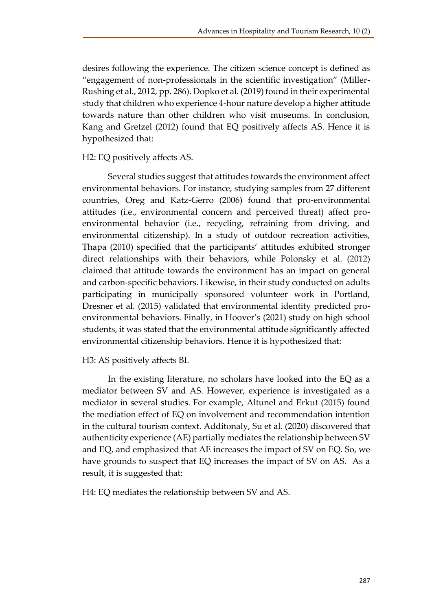desires following the experience. The citizen science concept is defined as "engagement of non-professionals in the scientific investigation" (Miller-Rushing et al., 2012, pp. 286). Dopko et al. (2019) found in their experimental study that children who experience 4-hour nature develop a higher attitude towards nature than other children who visit museums. In conclusion, Kang and Gretzel (2012) found that EQ positively affects AS. Hence it is hypothesized that:

# H2: EQ positively affects AS.

Several studies suggest that attitudes towards the environment affect environmental behaviors. For instance, studying samples from 27 different countries, Oreg and Katz-Gerro (2006) found that pro-environmental attitudes (i.e., environmental concern and perceived threat) affect proenvironmental behavior (i.e., recycling, refraining from driving, and environmental citizenship). In a study of outdoor recreation activities, Thapa (2010) specified that the participants' attitudes exhibited stronger direct relationships with their behaviors, while Polonsky et al. (2012) claimed that attitude towards the environment has an impact on general and carbon-specific behaviors. Likewise, in their study conducted on adults participating in municipally sponsored volunteer work in Portland, Dresner et al. (2015) validated that environmental identity predicted proenvironmental behaviors. Finally, in Hoover's (2021) study on high school students, it was stated that the environmental attitude significantly affected environmental citizenship behaviors. Hence it is hypothesized that:

# H3: AS positively affects BI.

In the existing literature, no scholars have looked into the EQ as a mediator between SV and AS. However, experience is investigated as a mediator in several studies. For example, Altunel and Erkut (2015) found the mediation effect of EQ on involvement and recommendation intention in the cultural tourism context. Additonaly, Su et al. (2020) discovered that authenticity experience (AE) partially mediates the relationship between SV and EQ, and emphasized that AE increases the impact of SV on EQ. So, we have grounds to suspect that EQ increases the impact of SV on AS. As a result, it is suggested that:

H4: EQ mediates the relationship between SV and AS.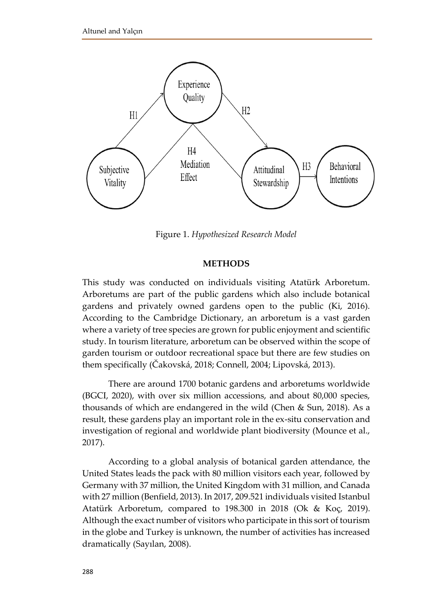

Figure 1. *Hypothesized Research Model*

### **METHODS**

This study was conducted on individuals visiting Atatürk Arboretum. Arboretums are part of the public gardens which also include botanical gardens and privately owned gardens open to the public (Ki, 2016). According to the Cambridge Dictionary, an arboretum is a vast garden where a variety of tree species are grown for public enjoyment and scientific study. In tourism literature, arboretum can be observed within the scope of garden tourism or outdoor recreational space but there are few studies on them specifically (Čakovská, 2018; Connell, 2004; Lipovská, 2013).

There are around 1700 botanic gardens and arboretums worldwide (BGCI, 2020), with over six million accessions, and about 80,000 species, thousands of which are endangered in the wild (Chen & Sun, 2018). As a result, these gardens play an important role in the ex-situ conservation and investigation of regional and worldwide plant biodiversity (Mounce et al., 2017).

According to a global analysis of botanical garden attendance, the United States leads the pack with 80 million visitors each year, followed by Germany with 37 million, the United Kingdom with 31 million, and Canada with 27 million (Benfield, 2013). In 2017, 209.521 individuals visited Istanbul Atatürk Arboretum, compared to 198.300 in 2018 (Ok & Koç, 2019). Although the exact number of visitors who participate in this sort of tourism in the globe and Turkey is unknown, the number of activities has increased dramatically (Sayılan, 2008).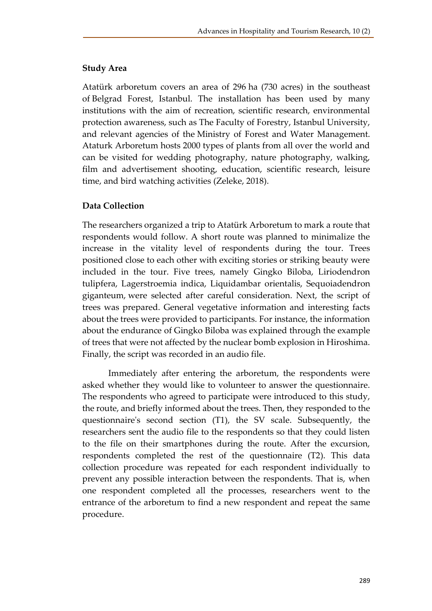# **Study Area**

Atatürk arboretum covers an area of 296 ha (730 acres) in the southeast of Belgrad Forest, Istanbul. The installation has been used by many institutions with the aim of recreation, scientific research, environmental protection awareness, such as The Faculty of Forestry, Istanbul University, and relevant agencies of the Ministry of Forest and Water Management. Ataturk Arboretum hosts 2000 types of plants from all over the world and can be visited for wedding photography, nature photography, walking, film and advertisement shooting, education, scientific research, leisure time, and bird watching activities (Zeleke, 2018).

# **Data Collection**

The researchers organized a trip to Atatürk Arboretum to mark a route that respondents would follow. A short route was planned to minimalize the increase in the vitality level of respondents during the tour. Trees positioned close to each other with exciting stories or striking beauty were included in the tour. Five trees, namely Gingko Biloba, Liriodendron tulipfera, Lagerstroemia indica, Liquidambar orientalis, Sequoiadendron giganteum, were selected after careful consideration. Next, the script of trees was prepared. General vegetative information and interesting facts about the trees were provided to participants. For instance, the information about the endurance of Gingko Biloba was explained through the example of trees that were not affected by the nuclear bomb explosion in Hiroshima. Finally, the script was recorded in an audio file.

Immediately after entering the arboretum, the respondents were asked whether they would like to volunteer to answer the questionnaire. The respondents who agreed to participate were introduced to this study, the route, and briefly informed about the trees. Then, they responded to the questionnaire's second section (T1), the SV scale. Subsequently, the researchers sent the audio file to the respondents so that they could listen to the file on their smartphones during the route. After the excursion, respondents completed the rest of the questionnaire (T2). This data collection procedure was repeated for each respondent individually to prevent any possible interaction between the respondents. That is, when one respondent completed all the processes, researchers went to the entrance of the arboretum to find a new respondent and repeat the same procedure.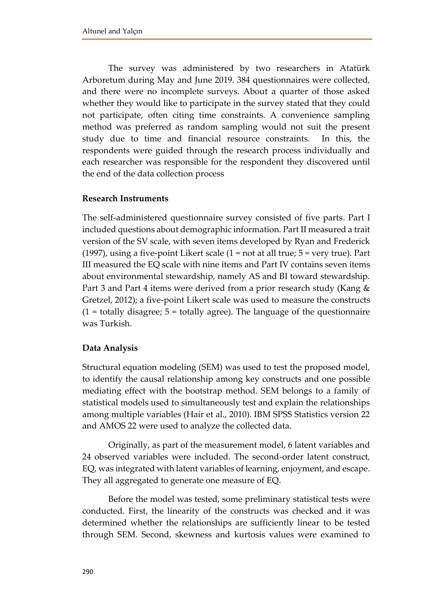The survey was administered by two researchers in Atatürk Arboretum during May and June 2019. 384 questionnaires were collected, and there were no incomplete surveys. About a quarter of those asked whether they would like to participate in the survey stated that they could not participate, often citing time constraints. A convenience sampling method was preferred as random sampling would not suit the present study due to time and financial resource constraints. In this, the respondents were guided through the research process individually and each researcher was responsible for the respondent they discovered until the end of the data collection process

### **Research Instruments**

The self-administered questionnaire survey consisted of five parts. Part I included questions about demographic information. Part II measured a trait version of the SV scale, with seven items developed by Ryan and Frederick (1997), using a five-point Likert scale (1 = not at all true; 5 = very true). Part III measured the EQ scale with nine items and Part IV contains seven items about environmental stewardship, namely AS and BI toward stewardship. Part 3 and Part 4 items were derived from a prior research study (Kang & Gretzel, 2012); a five-point Likert scale was used to measure the constructs  $(1 =$  totally disagree;  $5 =$  totally agree). The language of the questionnaire was Turkish.

### **Data Analysis**

Structural equation modeling (SEM) was used to test the proposed model, to identify the causal relationship among key constructs and one possible mediating effect with the bootstrap method. SEM belongs to a family of statistical models used to simultaneously test and explain the relationships among multiple variables (Hair et al., 2010). IBM SPSS Statistics version 22 and AMOS 22 were used to analyze the collected data.

Originally, as part of the measurement model, 6 latent variables and 24 observed variables were included. The second-order latent construct, EQ, was integrated with latent variables of learning, enjoyment, and escape. They all aggregated to generate one measure of EQ.

Before the model was tested, some preliminary statistical tests were conducted. First, the linearity of the constructs was checked and it was determined whether the relationships are sufficiently linear to be tested through SEM. Second, skewness and kurtosis values were examined to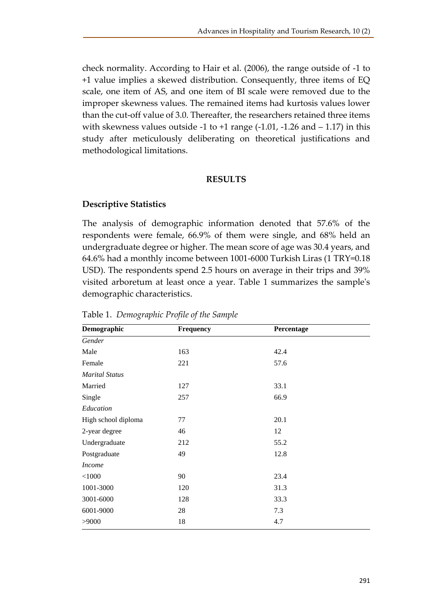check normality. According to Hair et al. (2006), the range outside of -1 to +1 value implies a skewed distribution. Consequently, three items of EQ scale, one item of AS, and one item of BI scale were removed due to the improper skewness values. The remained items had kurtosis values lower than the cut-off value of 3.0. Thereafter, the researchers retained three items with skewness values outside -1 to +1 range  $(-1.01, -1.26$  and  $-1.17)$  in this study after meticulously deliberating on theoretical justifications and methodological limitations.

### **RESULTS**

## **Descriptive Statistics**

The analysis of demographic information denoted that 57.6% of the respondents were female, 66.9% of them were single, and 68% held an undergraduate degree or higher. The mean score of age was 30.4 years, and 64.6% had a monthly income between 1001-6000 Turkish Liras (1 TRY=0.18 USD). The respondents spend 2.5 hours on average in their trips and 39% visited arboretum at least once a year. Table 1 summarizes the sample's demographic characteristics.

| Demographic           | Frequency | Percentage |  |  |  |
|-----------------------|-----------|------------|--|--|--|
| Gender                |           |            |  |  |  |
| Male                  | 163       | 42.4       |  |  |  |
| Female                | 221       | 57.6       |  |  |  |
| <b>Marital Status</b> |           |            |  |  |  |
| Married               | 127       | 33.1       |  |  |  |
| Single                | 257       | 66.9       |  |  |  |
| Education             |           |            |  |  |  |
| High school diploma   | 77        | 20.1       |  |  |  |
| 2-year degree         | 46        | 12         |  |  |  |
| Undergraduate         | 212       | 55.2       |  |  |  |
| Postgraduate          | 49        | 12.8       |  |  |  |
| <b>Income</b>         |           |            |  |  |  |
| 90<br>< 1000          |           | 23.4       |  |  |  |
| 1001-3000             | 120       | 31.3       |  |  |  |
| 3001-6000             | 128       | 33.3       |  |  |  |
| 6001-9000             | 28        | 7.3        |  |  |  |
| >9000                 | 18        | 4.7        |  |  |  |

Table 1. *Demographic Profile of the Sample*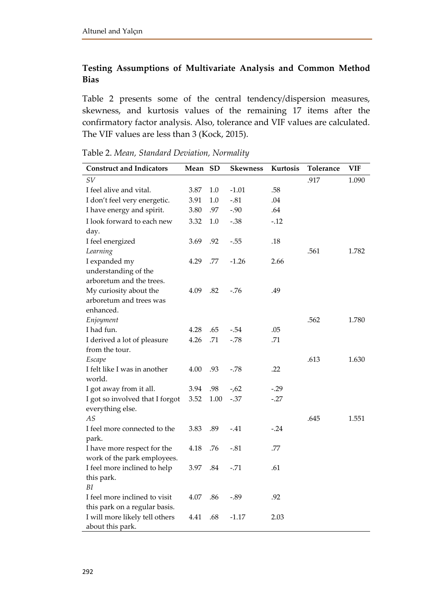# **Testing Assumptions of Multivariate Analysis and Common Method Bias**

Table 2 presents some of the central tendency/dispersion measures, skewness, and kurtosis values of the remaining 17 items after the confirmatory factor analysis. Also, tolerance and VIF values are calculated. The VIF values are less than 3 (Kock, 2015).

| <b>Construct and Indicators</b>                    | Mean | <b>SD</b> | Skewness | Kurtosis | Tolerance | <b>VIF</b> |
|----------------------------------------------------|------|-----------|----------|----------|-----------|------------|
| SV                                                 |      |           |          |          | .917      | 1.090      |
| I feel alive and vital.                            | 3.87 | $1.0\,$   | $-1.01$  | .58      |           |            |
| I don't feel very energetic.                       | 3.91 | 1.0       | $-.81$   | .04      |           |            |
| I have energy and spirit.                          | 3.80 | .97       | $-.90$   | .64      |           |            |
| I look forward to each new                         | 3.32 | 1.0       | $-.38$   | $-12$    |           |            |
| day.                                               |      |           |          |          |           |            |
| I feel energized                                   | 3.69 | .92       | $-.55$   | .18      |           |            |
| Learning                                           |      |           |          |          | .561      | 1.782      |
| I expanded my                                      | 4.29 | .77       | $-1.26$  | 2.66     |           |            |
| understanding of the                               |      |           |          |          |           |            |
| arboretum and the trees.                           |      |           |          |          |           |            |
| My curiosity about the                             | 4.09 | .82       | $-76$    | .49      |           |            |
| arboretum and trees was                            |      |           |          |          |           |            |
| enhanced.                                          |      |           |          |          |           |            |
| Enjoyment                                          |      |           |          |          | .562      | 1.780      |
| I had fun.                                         | 4.28 | .65       | $-.54$   | .05      |           |            |
| I derived a lot of pleasure                        | 4.26 | .71       | $-.78$   | .71      |           |            |
| from the tour.                                     |      |           |          |          |           |            |
| Escape                                             |      |           |          |          | .613      | 1.630      |
| I felt like I was in another                       | 4.00 | .93       | -.78     | .22      |           |            |
| world.                                             |      |           |          |          |           |            |
| I got away from it all.                            | 3.94 | .98       | $-62$    | $-.29$   |           |            |
| I got so involved that I forgot                    | 3.52 | 1.00      | $-.37$   | $-0.27$  |           |            |
| everything else.                                   |      |           |          |          |           |            |
| AS                                                 |      |           |          |          | .645      | 1.551      |
| I feel more connected to the                       | 3.83 | .89       | $-.41$   | $-.24$   |           |            |
| park.                                              |      |           |          |          |           |            |
| I have more respect for the                        | 4.18 | .76       | $-.81$   | .77      |           |            |
| work of the park employees.                        |      |           |          |          |           |            |
| I feel more inclined to help                       | 3.97 | .84       | $-.71$   | .61      |           |            |
| this park.<br>ΒI                                   |      |           |          |          |           |            |
|                                                    |      |           |          |          |           |            |
| I feel more inclined to visit                      | 4.07 | .86       | $-.89$   | .92      |           |            |
| this park on a regular basis.                      | 4.41 | .68       | $-1.17$  | 2.03     |           |            |
| I will more likely tell others<br>about this park. |      |           |          |          |           |            |

Table 2. *Mean, Standard Deviation, Normality*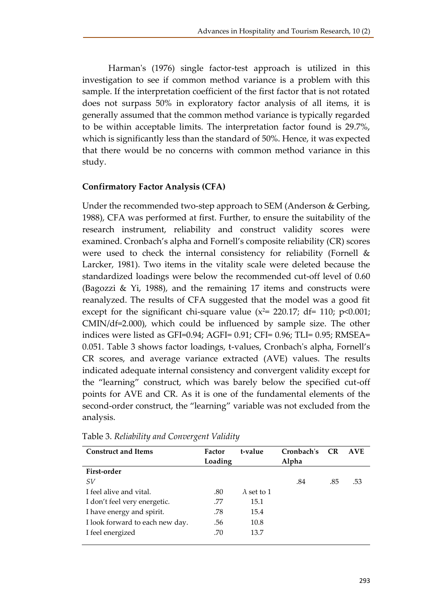Harman's (1976) single factor-test approach is utilized in this investigation to see if common method variance is a problem with this sample. If the interpretation coefficient of the first factor that is not rotated does not surpass 50% in exploratory factor analysis of all items, it is generally assumed that the common method variance is typically regarded to be within acceptable limits. The interpretation factor found is 29.7%, which is significantly less than the standard of 50%. Hence, it was expected that there would be no concerns with common method variance in this study.

# **Confirmatory Factor Analysis (CFA)**

Under the recommended two-step approach to SEM (Anderson & Gerbing, 1988), CFA was performed at first. Further, to ensure the suitability of the research instrument, reliability and construct validity scores were examined. Cronbach's alpha and Fornell's composite reliability (CR) scores were used to check the internal consistency for reliability (Fornell & Larcker, 1981). Two items in the vitality scale were deleted because the standardized loadings were below the recommended cut-off level of 0.60 (Bagozzi & Yi, 1988), and the remaining 17 items and constructs were reanalyzed. The results of CFA suggested that the model was a good fit except for the significant chi-square value ( $x^2$ = 220.17; df= 110; p<0.001; CMIN/df=2.000), which could be influenced by sample size. The other indices were listed as GFI=0.94; AGFI= 0.91; CFI= 0.96; TLI= 0.95; RMSEA= 0.051. Table 3 shows factor loadings, t-values, Cronbach's alpha, Fornell's CR scores, and average variance extracted (AVE) values. The results indicated adequate internal consistency and convergent validity except for the "learning" construct, which was barely below the specified cut-off points for AVE and CR. As it is one of the fundamental elements of the second-order construct, the "learning" variable was not excluded from the analysis.

| <b>Construct and Items</b>      | Factor  | t-value            | Cronbach's | <b>CR</b> | <b>AVE</b> |
|---------------------------------|---------|--------------------|------------|-----------|------------|
|                                 | Loading |                    | Alpha      |           |            |
| First-order                     |         |                    |            |           |            |
| SV                              |         |                    | .84        | .85       | .53        |
| I feel alive and vital.         | .80     | $\lambda$ set to 1 |            |           |            |
| I don't feel very energetic.    | .77     | 15.1               |            |           |            |
| I have energy and spirit.       | .78     | 15.4               |            |           |            |
| I look forward to each new day. | .56     | 10.8               |            |           |            |
| I feel energized                | .70     | 13.7               |            |           |            |
|                                 |         |                    |            |           |            |

Table 3. *Reliability and Convergent Validity*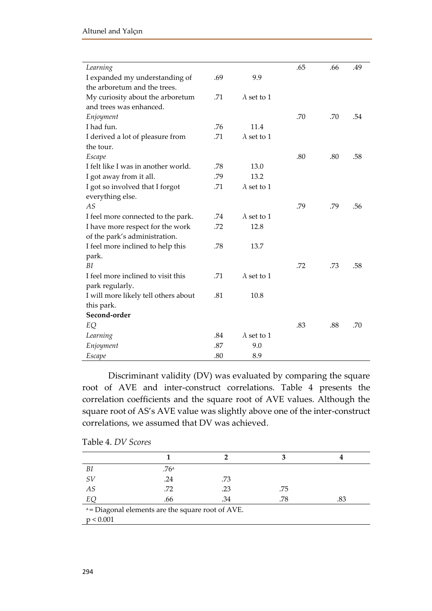| Learning                             |     |                    | .65 | .66 | .49 |
|--------------------------------------|-----|--------------------|-----|-----|-----|
| I expanded my understanding of       | .69 | 9.9                |     |     |     |
| the arboretum and the trees.         |     |                    |     |     |     |
| My curiosity about the arboretum     | .71 | $\lambda$ set to 1 |     |     |     |
| and trees was enhanced.              |     |                    |     |     |     |
| Enjoyment                            |     |                    | .70 | .70 | .54 |
| I had fun.                           | .76 | 11.4               |     |     |     |
| I derived a lot of pleasure from     | .71 | $\lambda$ set to 1 |     |     |     |
| the tour.                            |     |                    |     |     |     |
| Escape                               |     |                    | .80 | .80 | .58 |
| I felt like I was in another world.  | .78 | 13.0               |     |     |     |
| I got away from it all.              | .79 | 13.2               |     |     |     |
| I got so involved that I forgot      | .71 | $\lambda$ set to 1 |     |     |     |
| everything else.                     |     |                    |     |     |     |
| AS                                   |     |                    | .79 | .79 | .56 |
| I feel more connected to the park.   | .74 | $\lambda$ set to 1 |     |     |     |
| I have more respect for the work     | .72 | 12.8               |     |     |     |
| of the park's administration.        |     |                    |     |     |     |
| I feel more inclined to help this    | .78 | 13.7               |     |     |     |
| park.                                |     |                    |     |     |     |
| BI                                   |     |                    | .72 | .73 | .58 |
| I feel more inclined to visit this   | .71 | $\lambda$ set to 1 |     |     |     |
| park regularly.                      |     |                    |     |     |     |
| I will more likely tell others about | .81 | 10.8               |     |     |     |
| this park.                           |     |                    |     |     |     |
| Second-order                         |     |                    |     |     |     |
| EQ                                   |     |                    | .83 | .88 | .70 |
| Learning                             | .84 | $\lambda$ set to 1 |     |     |     |
| Enjoyment                            | .87 | 9.0                |     |     |     |
| Escape                               | .80 | 8.9                |     |     |     |

Discriminant validity (DV) was evaluated by comparing the square root of AVE and inter-construct correlations. Table 4 presents the correlation coefficients and the square root of AVE values. Although the square root of AS's AVE value was slightly above one of the inter-construct correlations, we assumed that DV was achieved.

| ΒI                                                | .76a |     |     |     |  |  |
|---------------------------------------------------|------|-----|-----|-----|--|--|
| SV                                                | .24  | .73 |     |     |  |  |
| AS                                                | .72  | .23 | .75 |     |  |  |
| EQ                                                | .66  | .34 | .78 | .83 |  |  |
| a = Diagonal elements are the square root of AVE. |      |     |     |     |  |  |
| p < 0.001                                         |      |     |     |     |  |  |

Table 4. *DV Scores*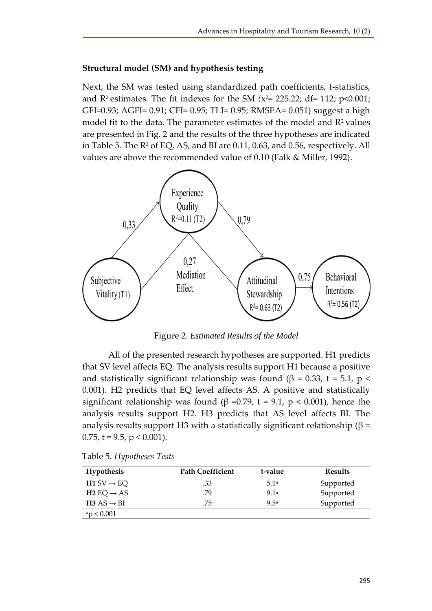### **Structural model (SM) and hypothesis testing**

Next, the SM was tested using standardized path coefficients, t-statistics, and R2 estimates. The fit indexes for the SM *(*x <sup>2</sup>= 225.22; df= 112; p<0.001; GFI=0.93; AGFI= 0.91; CFI= 0.95; TLI= 0.95; RMSEA= 0.051) suggest a high model fit to the data. The parameter estimates of the model and R<sup>2</sup> values are presented in Fig. 2 and the results of the three hypotheses are indicated in Table 5. The  $\mathbb{R}^2$  of EQ, AS, and BI are 0.11, 0.63, and 0.56, respectively. All values are above the recommended value of 0.10 (Falk & Miller, 1992).



Figure 2. *Estimated Results of the Model*

All of the presented research hypotheses are supported. H1 predicts that SV level affects EQ. The analysis results support H1 because a positive and statistically significant relationship was found (β = 0.33, t = 5.1, p < 0.001). H2 predicts that EQ level affects AS. A positive and statistically significant relationship was found ( $\beta$  =0.79, t = 9.1, p < 0.001), hence the analysis results support H2. H3 predicts that AS level affects BI. The analysis results support H3 with a statistically significant relationship ( $\beta$  = 0.75,  $t = 9.5$ ,  $p < 0.001$ ).

| Hypothesis               | <b>Path Coefficient</b> | t-value | <b>Results</b> |
|--------------------------|-------------------------|---------|----------------|
| $H1 SV \rightarrow EO$   | .33                     | 5.1a    | Supported      |
| $H2$ EQ $\rightarrow$ AS | .79                     | 9.1a    | Supported      |
| $H3 AS \rightarrow BI$   | .75                     | 9 5a    | Supported      |
| ap < 0.001               |                         |         |                |

Table 5. *Hypotheses Tests*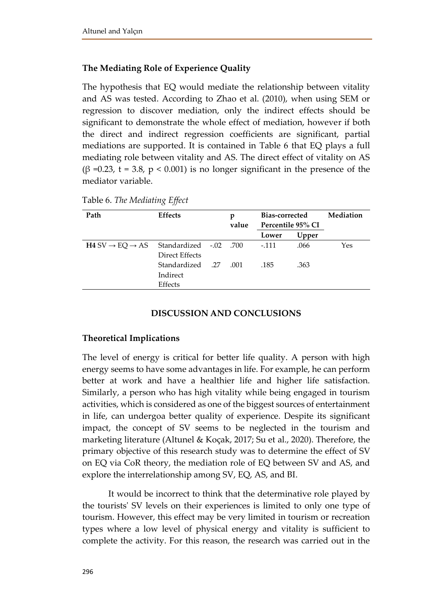# **The Mediating Role of Experience Quality**

The hypothesis that EQ would mediate the relationship between vitality and AS was tested. According to Zhao et al. (2010), when using SEM or regression to discover mediation, only the indirect effects should be significant to demonstrate the whole effect of mediation, however if both the direct and indirect regression coefficients are significant, partial mediations are supported. It is contained in Table 6 that EQ plays a full mediating role between vitality and AS. The direct effect of vitality on AS (β =0.23, t = 3.8, p < 0.001) is no longer significant in the presence of the mediator variable.

| Path                                                         | <b>Effects</b>   |  | p     | Bias-corrected    |       | Mediation |  |
|--------------------------------------------------------------|------------------|--|-------|-------------------|-------|-----------|--|
|                                                              |                  |  | value | Percentile 95% CI |       |           |  |
|                                                              |                  |  |       | Lower             | Upper |           |  |
| $H4 SV \rightarrow EQ \rightarrow AS$ Standardized -.02 .700 |                  |  |       | $-.111$           | .066  | Yes       |  |
|                                                              | Direct Effects   |  |       |                   |       |           |  |
|                                                              | 27. Standardized |  | .001  | .185              | .363  |           |  |
|                                                              | Indirect         |  |       |                   |       |           |  |
|                                                              | Effects          |  |       |                   |       |           |  |
|                                                              |                  |  |       |                   |       |           |  |

Table 6. *The Mediating Effect*

### **DISCUSSION AND CONCLUSIONS**

### **Theoretical Implications**

The level of energy is critical for better life quality. A person with high energy seems to have some advantages in life. For example, he can perform better at work and have a healthier life and higher life satisfaction. Similarly, a person who has high vitality while being engaged in tourism activities, which is considered as one of the biggest sources of entertainment in life, can undergoa better quality of experience. Despite its significant impact, the concept of SV seems to be neglected in the tourism and marketing literature (Altunel & Koçak, 2017; Su et al., 2020). Therefore, the primary objective of this research study was to determine the effect of SV on EQ via CoR theory, the mediation role of EQ between SV and AS, and explore the interrelationship among SV, EQ, AS, and BI.

It would be incorrect to think that the determinative role played by the tourists' SV levels on their experiences is limited to only one type of tourism. However, this effect may be very limited in tourism or recreation types where a low level of physical energy and vitality is sufficient to complete the activity. For this reason, the research was carried out in the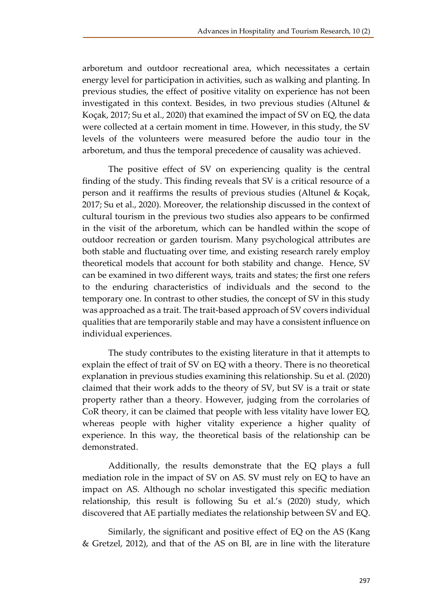arboretum and outdoor recreational area, which necessitates a certain energy level for participation in activities, such as walking and planting. In previous studies, the effect of positive vitality on experience has not been investigated in this context. Besides, in two previous studies (Altunel & Koçak, 2017; Su et al., 2020) that examined the impact of SV on EQ, the data were collected at a certain moment in time. However, in this study, the SV levels of the volunteers were measured before the audio tour in the arboretum, and thus the temporal precedence of causality was achieved.

The positive effect of SV on experiencing quality is the central finding of the study. This finding reveals that SV is a critical resource of a person and it reaffirms the results of previous studies (Altunel & Koçak, 2017; Su et al., 2020). Moreover, the relationship discussed in the context of cultural tourism in the previous two studies also appears to be confirmed in the visit of the arboretum, which can be handled within the scope of outdoor recreation or garden tourism. Many psychological attributes are both stable and fluctuating over time, and existing research rarely employ theoretical models that account for both stability and change. Hence, SV can be examined in two different ways, traits and states; the first one refers to the enduring characteristics of individuals and the second to the temporary one. In contrast to other studies, the concept of SV in this study was approached as a trait. The trait-based approach of SV covers individual qualities that are temporarily stable and may have a consistent influence on individual experiences.

The study contributes to the existing literature in that it attempts to explain the effect of trait of SV on EQ with a theory. There is no theoretical explanation in previous studies examining this relationship. Su et al. (2020) claimed that their work adds to the theory of SV, but SV is a trait or state property rather than a theory. However, judging from the corrolaries of CoR theory, it can be claimed that people with less vitality have lower EQ, whereas people with higher vitality experience a higher quality of experience. In this way, the theoretical basis of the relationship can be demonstrated.

Additionally, the results demonstrate that the EQ plays a full mediation role in the impact of SV on AS. SV must rely on EQ to have an impact on AS. Although no scholar investigated this specific mediation relationship, this result is following Su et al.'s (2020) study, which discovered that AE partially mediates the relationship between SV and EQ.

Similarly, the significant and positive effect of EQ on the AS (Kang & Gretzel, 2012), and that of the AS on BI, are in line with the literature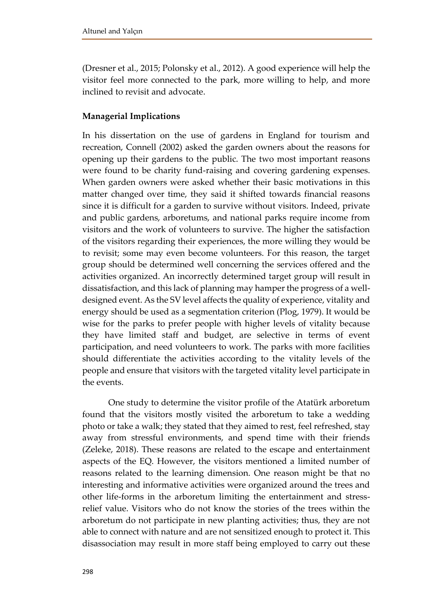(Dresner et al., 2015; Polonsky et al., 2012). A good experience will help the visitor feel more connected to the park, more willing to help, and more inclined to revisit and advocate.

# **Managerial Implications**

In his dissertation on the use of gardens in England for tourism and recreation, Connell (2002) asked the garden owners about the reasons for opening up their gardens to the public. The two most important reasons were found to be charity fund-raising and covering gardening expenses. When garden owners were asked whether their basic motivations in this matter changed over time, they said it shifted towards financial reasons since it is difficult for a garden to survive without visitors. Indeed, private and public gardens, arboretums, and national parks require income from visitors and the work of volunteers to survive. The higher the satisfaction of the visitors regarding their experiences, the more willing they would be to revisit; some may even become volunteers. For this reason, the target group should be determined well concerning the services offered and the activities organized. An incorrectly determined target group will result in dissatisfaction, and this lack of planning may hamper the progress of a welldesigned event. As the SV level affects the quality of experience, vitality and energy should be used as a segmentation criterion (Plog, 1979). It would be wise for the parks to prefer people with higher levels of vitality because they have limited staff and budget, are selective in terms of event participation, and need volunteers to work. The parks with more facilities should differentiate the activities according to the vitality levels of the people and ensure that visitors with the targeted vitality level participate in the events.

One study to determine the visitor profile of the Atatürk arboretum found that the visitors mostly visited the arboretum to take a wedding photo or take a walk; they stated that they aimed to rest, feel refreshed, stay away from stressful environments, and spend time with their friends (Zeleke, 2018). These reasons are related to the escape and entertainment aspects of the EQ. However, the visitors mentioned a limited number of reasons related to the learning dimension. One reason might be that no interesting and informative activities were organized around the trees and other life-forms in the arboretum limiting the entertainment and stressrelief value. Visitors who do not know the stories of the trees within the arboretum do not participate in new planting activities; thus, they are not able to connect with nature and are not sensitized enough to protect it. This disassociation may result in more staff being employed to carry out these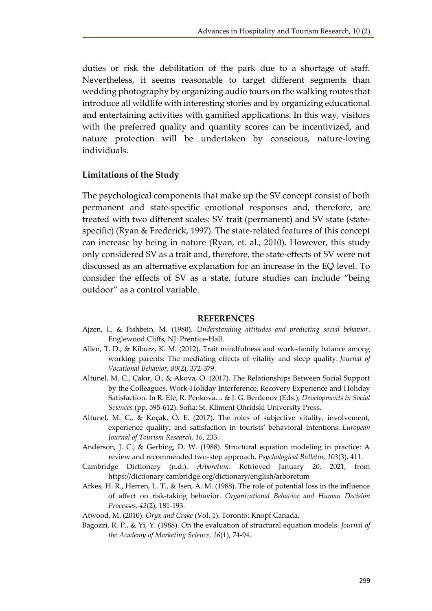duties or risk the debilitation of the park due to a shortage of staff. Nevertheless, it seems reasonable to target different segments than wedding photography by organizing audio tours on the walking routes that introduce all wildlife with interesting stories and by organizing educational and entertaining activities with gamified applications. In this way, visitors with the preferred quality and quantity scores can be incentivized, and nature protection will be undertaken by conscious, nature-loving individuals.

### **Limitations of the Study**

The psychological components that make up the SV concept consist of both permanent and state-specific emotional responses and, therefore, are treated with two different scales: SV trait (permanent) and SV state (statespecific) (Ryan & Frederick, 1997). The state-related features of this concept can increase by being in nature (Ryan, et. al., 2010). However, this study only considered SV as a trait and, therefore, the state-effects of SV were not discussed as an alternative explanation for an increase in the EQ level. To consider the effects of SV as a state, future studies can include "being outdoor" as a control variable.

### **REFERENCES**

- Ajzen, I., & Fishbein, M. (1980). *Understanding attitudes and predicting social behavior*. Englewood Cliffs, NJ: Prentice-Hall.
- Allen, T. D., & Kiburz, K. M. (2012). Trait mindfulness and work–family balance among working parents: The mediating effects of vitality and sleep quality. *Journal of Vocational Behavior, 80*(2), 372-379.
- Altunel, M. C., Çakır, O., & Akova, O. (2017). The Relationships Between Social Support by the Colleagues, Work-Holiday Interference, Recovery Experience and Holiday Satisfaction. In R. Efe, R. Penkova… & J. G. Berdenov (Eds.), *Developments in Social Sciences* (pp. 595-612). Sofia: St. Kliment Ohridski University Press.
- Altunel, M. C., & Koçak, Ö. E. (2017). The roles of subjective vitality, involvement, experience quality, and satisfaction in tourists' behavioral intentions. *European Journal of Tourism Research, 16*, 233.
- Anderson, J. C., & Gerbing, D. W. (1988). Structural equation modeling in practice: A review and recommended two-step approach. *Psychological Bulletin, 103*(3), 411.
- Cambridge Dictionary (n.d.). *Arboretum*. Retrieved January 20, 2021, from https://dictionary.cambridge.org/dictionary/english/arboretum
- Arkes, H. R., Herren, L. T., & Isen, A. M. (1988). The role of potential loss in the influence of affect on risk-taking behavior. *Organizational Behavior and Human Decision Processes, 42*(2), 181-193.
- Atwood, M. (2010). *Oryx and Crake* (Vol. 1). Toronto: Knopf Canada.
- Bagozzi, R. P., & Yi, Y. (1988). On the evaluation of structural equation models. *Journal of the Academy of Marketing Science, 16*(1), 74-94.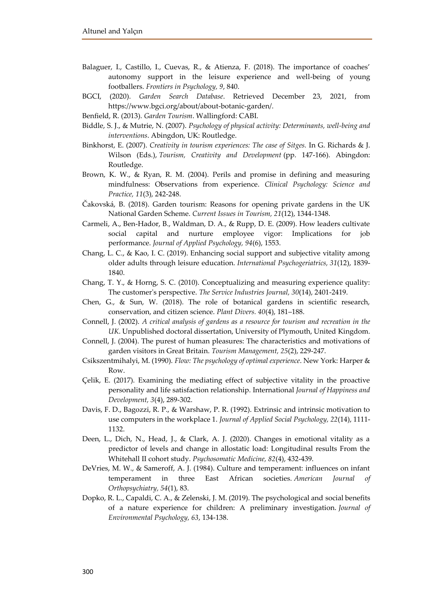- Balaguer, I., Castillo, I., Cuevas, R., & Atienza, F. (2018). The importance of coaches' autonomy support in the leisure experience and well-being of young footballers. *Frontiers in Psychology, 9*, 840.
- BGCI, (2020). *Garden Search Database*. Retrieved December 23, 2021, from https://www.bgci.org/about/about-botanic-garden/.
- Benfield, R. (2013). *Garden Tourism*. Wallingford: CABI.
- Biddle, S. J., & Mutrie, N. (2007). *Psychology of physical activity: Determinants, well-being and interventions*. Abingdon, UK: Routledge.
- Binkhorst, E. (2007). *Creativity in tourism experiences: The case of Sitges.* In G. Richards & J. Wilson (Eds.), *Tourism, Creativity and Development* (pp. 147-166). Abingdon: Routledge.
- Brown, K. W., & Ryan, R. M. (2004). Perils and promise in defining and measuring mindfulness: Observations from experience. *Clinical Psychology: Science and Practice, 11*(3), 242-248.
- Čakovská, B. (2018). Garden tourism: Reasons for opening private gardens in the UK National Garden Scheme. *Current Issues in Tourism, 21*(12), 1344-1348.
- Carmeli, A., Ben-Hador, B., Waldman, D. A., & Rupp, D. E. (2009). How leaders cultivate social capital and nurture employee vigor: Implications for job performance. *Journal of Applied Psychology, 94*(6), 1553.
- Chang, L. C., & Kao, I. C. (2019). Enhancing social support and subjective vitality among older adults through leisure education. *International Psychogeriatrics, 31*(12), 1839- 1840.
- Chang, T. Y., & Horng, S. C. (2010). Conceptualizing and measuring experience quality: The customer's perspective. *The Service Industries Journal, 30*(14), 2401-2419.
- Chen, G., & Sun, W. (2018). The role of botanical gardens in scientific research, conservation, and citizen science. *Plant Divers. 40*(4), 181–188.
- Connell, J. (2002). *A critical analysis of gardens as a resource for tourism and recreation in the UK*. Unpublished doctoral dissertation, University of Plymouth, United Kingdom.
- Connell, J. (2004). The purest of human pleasures: The characteristics and motivations of garden visitors in Great Britain. *Tourism Management, 25*(2), 229-247.
- Csikszentmihalyi, M. (1990). *Flow: The psychology of optimal experience*. New York: Harper & Row.
- Çelik, E. (2017). Examining the mediating effect of subjective vitality in the proactive personality and life satisfaction relationship. International *Journal of Happiness and Development, 3*(4), 289-302.
- Davis, F. D., Bagozzi, R. P., & Warshaw, P. R. (1992). Extrinsic and intrinsic motivation to use computers in the workplace 1. *Journal of Applied Social Psychology, 22*(14), 1111- 1132.
- Deen, L., Dich, N., Head, J., & Clark, A. J. (2020). Changes in emotional vitality as a predictor of levels and change in allostatic load: Longitudinal results From the Whitehall II cohort study. *Psychosomatic Medicine, 82*(4), 432-439.
- DeVries, M. W., & Sameroff, A. J. (1984). Culture and temperament: influences on infant temperament in three East African societies. *American Journal of Orthopsychiatry, 54*(1), 83.
- Dopko, R. L., Capaldi, C. A., & Zelenski, J. M. (2019). The psychological and social benefits of a nature experience for children: A preliminary investigation. *Journal of Environmental Psychology, 63*, 134-138.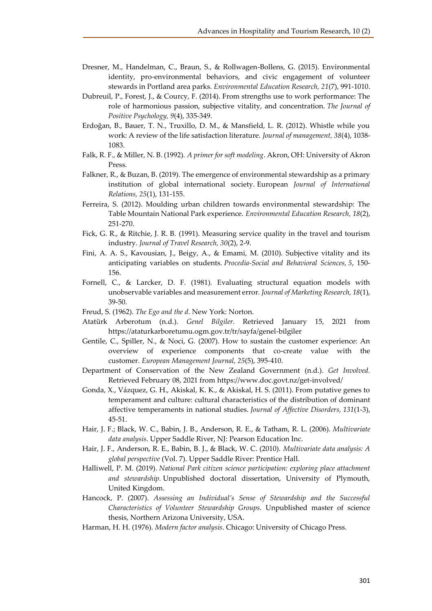- Dresner, M., Handelman, C., Braun, S., & Rollwagen-Bollens, G. (2015). Environmental identity, pro-environmental behaviors, and civic engagement of volunteer stewards in Portland area parks. *Environmental Education Research, 21*(7), 991-1010.
- Dubreuil, P., Forest, J., & Courcy, F. (2014). From strengths use to work performance: The role of harmonious passion, subjective vitality, and concentration. *The Journal of Positive Psychology, 9*(4), 335-349.
- Erdoğan, B., Bauer, T. N., Truxillo, D. M., & Mansfield, L. R. (2012). Whistle while you work: A review of the life satisfaction literature. *Journal of management, 38*(4), 1038- 1083.
- Falk, R. F., & Miller, N. B. (1992). *A primer for soft modeling*. Akron, OH: University of Akron Press.
- Falkner, R., & Buzan, B. (2019). The emergence of environmental stewardship as a primary institution of global international society. European *Journal of International Relations, 25*(1), 131-155.
- Ferreira, S. (2012). Moulding urban children towards environmental stewardship: The Table Mountain National Park experience. *Environmental Education Research, 18*(2), 251-270.
- Fick, G. R., & Ritchie, J. R. B. (1991). Measuring service quality in the travel and tourism industry. *Journal of Travel Research, 30*(2), 2-9.
- Fini, A. A. S., Kavousian, J., Beigy, A., & Emami, M. (2010). Subjective vitality and its anticipating variables on students. *Procedia-Social and Behavioral Sciences, 5*, 150- 156.
- Fornell, C., & Larcker, D. F. (1981). Evaluating structural equation models with unobservable variables and measurement error. *Journal of Marketing Research, 18*(1), 39-50.
- Freud, S. (1962). *The Ego and the d*. New York: Norton.
- Atatürk Arberotum (n.d.). *Genel Bilgiler*. Retrieved January 15, 2021 from <https://ataturkarboretumu.ogm.gov.tr/tr/sayfa/genel-bilgiler>
- Gentile, C., Spiller, N., & Noci, G. (2007). How to sustain the customer experience: An overview of experience components that co-create value with the customer. *European Management Journal, 25*(5), 395-410.
- Department of Conservation of the New Zealand Government (n.d.). *Get Involved.*  Retrieved February 08, 2021 from<https://www.doc.govt.nz/get-involved/>
- Gonda, X., Vázquez, G. H., Akiskal, K. K., & Akiskal, H. S. (2011). From putative genes to temperament and culture: cultural characteristics of the distribution of dominant affective temperaments in national studies. *Journal of Affective Disorders, 131*(1-3), 45-51.
- Hair, J. F.; Black, W. C., Babin, J. B., Anderson, R. E., & Tatham, R. L. (2006). *Multivariate data analysis*. Upper Saddle River, NJ: Pearson Education Inc.
- Hair, J. F., Anderson, R. E., Babin, B. J., & Black, W. C. (2010). *Multivariate data analysis: A global perspective* (Vol. 7). Upper Saddle River: Prentice Hall.
- Halliwell, P. M. (2019). *National Park citizen science participation: exploring place attachment and stewardship.* Unpublished doctoral dissertation, University of Plymouth, United Kingdom.
- Hancock, P. (2007). *Assessing an Individual's Sense of Stewardship and the Successful Characteristics of Volunteer Stewardship Groups.* Unpublished master of science thesis, Northern Arizona University, USA.
- Harman, H. H. (1976). *Modern factor analysis*. Chicago: University of Chicago Press.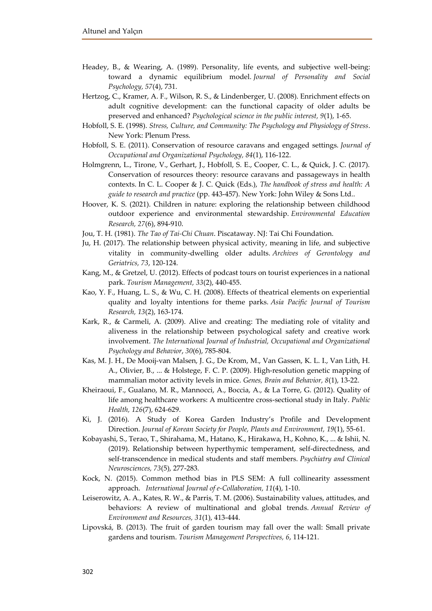- Headey, B., & Wearing, A. (1989). Personality, life events, and subjective well-being: toward a dynamic equilibrium model. *Journal of Personality and Social Psychology, 57*(4), 731.
- Hertzog, C., Kramer, A. F., Wilson, R. S., & Lindenberger, U. (2008). Enrichment effects on adult cognitive development: can the functional capacity of older adults be preserved and enhanced? *Psychological science in the public interest, 9*(1), 1-65.
- Hobfoll, S. E. (1998). *Stress, Culture, and Community: The Psychology and Physiology of Stress*. New York: Plenum Press.
- Hobfoll, S. E. (2011). Conservation of resource caravans and engaged settings. *Journal of Occupational and Organizational Psychology, 84*(1), 116-122.
- Holmgrenn, L., Tirone, V., Gerhart, J., Hobfoll, S. E., Cooper, C. L., & Quick, J. C. (2017). Conservation of resources theory: resource caravans and passageways in health contexts. In C. L. Cooper & J. C. Quick (Eds.), *The handbook of stress and health: A guide to research and practice* (pp. 443-457). New York: John Wiley & Sons Ltd..
- Hoover, K. S. (2021). Children in nature: exploring the relationship between childhood outdoor experience and environmental stewardship. *Environmental Education Research, 27*(6), 894-910.
- Jou, T. H. (1981). *The Tao of Tai-Chi Chuan*. Piscataway. NJ: Tai Chi Foundation.
- Ju, H. (2017). The relationship between physical activity, meaning in life, and subjective vitality in community-dwelling older adults. *Archives of Gerontology and Geriatrics, 73*, 120-124.
- Kang, M., & Gretzel, U. (2012). Effects of podcast tours on tourist experiences in a national park. *Tourism Management, 33*(2), 440-455.
- Kao, Y. F., Huang, L. S., & Wu, C. H. (2008). Effects of theatrical elements on experiential quality and loyalty intentions for theme parks. *Asia Pacific Journal of Tourism Research, 13*(2), 163-174.
- Kark, R., & Carmeli, A. (2009). Alive and creating: The mediating role of vitality and aliveness in the relationship between psychological safety and creative work involvement. *The International Journal of Industrial, Occupational and Organizational Psychology and Behavior*, *30*(6), 785-804.
- Kas, M. J. H., De Mooij‐van Malsen, J. G., De Krom, M., Van Gassen, K. L. I., Van Lith, H. A., Olivier, B., ... & Holstege, F. C. P. (2009). High‐resolution genetic mapping of mammalian motor activity levels in mice. *Genes, Brain and Behavior, 8*(1), 13-22.
- Kheiraoui, F., Gualano, M. R., Mannocci, A., Boccia, A., & La Torre, G. (2012). Quality of life among healthcare workers: A multicentre cross-sectional study in Italy. *Public Health, 126*(7), 624-629.
- Ki, J. (2016). A Study of Korea Garden Industry's Profile and Development Direction. *Journal of Korean Society for People, Plants and Environment, 19*(1), 55-61.
- Kobayashi, S., Terao, T., Shirahama, M., Hatano, K., Hirakawa, H., Kohno, K., ... & Ishii, N. (2019). Relationship between hyperthymic temperament, self‐directedness, and self‐transcendence in medical students and staff members. *Psychiatry and Clinical Neurosciences, 73*(5), 277-283.
- Kock, N. (2015). Common method bias in PLS SEM: A full collinearity assessment approach. *International Journal of e-Collaboration, 11*(4), 1-10.
- Leiserowitz, A. A., Kates, R. W., & Parris, T. M. (2006). Sustainability values, attitudes, and behaviors: A review of multinational and global trends. *Annual Review of Environment and Resources, 31*(1), 413-444.
- Lipovská, B. (2013). The fruit of garden tourism may fall over the wall: Small private gardens and tourism. *Tourism Management Perspectives, 6*, 114-121.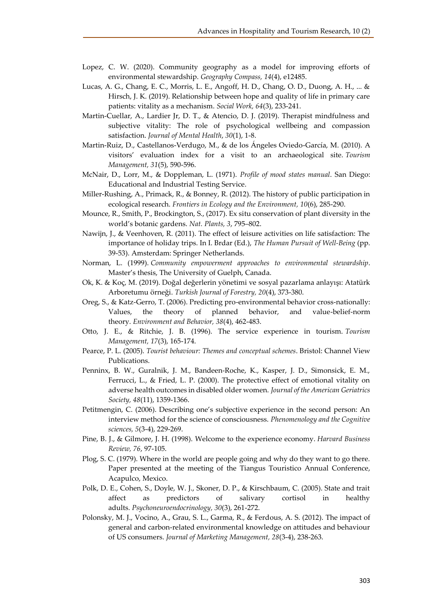- Lopez, C. W. (2020). Community geography as a model for improving efforts of environmental stewardship. *Geography Compass, 14*(4), e12485.
- Lucas, A. G., Chang, E. C., Morris, L. E., Angoff, H. D., Chang, O. D., Duong, A. H., ... & Hirsch, J. K. (2019). Relationship between hope and quality of life in primary care patients: vitality as a mechanism. *Social Work, 64*(3), 233-241.
- Martin-Cuellar, A., Lardier Jr, D. T., & Atencio, D. J. (2019). Therapist mindfulness and subjective vitality: The role of psychological wellbeing and compassion satisfaction. *Journal of Mental Health*, *30*(1), 1-8.
- Martin-Ruiz, D., Castellanos-Verdugo, M., & de los Ángeles Oviedo-García, M. (2010). A visitors' evaluation index for a visit to an archaeological site. *Tourism Management, 31*(5), 590-596.
- McNair, D., Lorr, M., & Doppleman, L. (1971). *Profile of mood states manual*. San Diego: Educational and Industrial Testing Service.
- Miller-Rushing, A., Primack, R., & Bonney, R. (2012). The history of public participation in ecological research. *Frontiers in Ecology and the Environment, 10*(6), 285-290.
- Mounce, R., Smith, P., Brockington, S., (2017). Ex situ conservation of plant diversity in the world's botanic gardens. *Nat. Plants, 3*, 795–802.
- Nawijn, J., & Veenhoven, R. (2011). The effect of leisure activities on life satisfaction: The importance of holiday trips. In I. Brdar (Ed.), *The Human Pursuit of Well-Being* (pp. 39-53). Amsterdam: Springer Netherlands.
- Norman, L. (1999). *Community empowerment approaches to environmental stewardship*. Master's thesis, The University of Guelph, Canada.
- Ok, K. & Koç, M. (2019). Doğal değerlerin yönetimi ve sosyal pazarlama anlayışı: Atatürk Arboretumu örneği. *Turkish Journal of Forestry, 20*(4), 373-380.
- Oreg, S., & Katz-Gerro, T. (2006). Predicting pro-environmental behavior cross-nationally: Values, the theory of planned behavior, and value-belief-norm theory. *Environment and Behavior, 38*(4), 462-483.
- Otto, J. E., & Ritchie, J. B. (1996). The service experience in tourism. *Tourism Management, 17*(3), 165-174.
- Pearce, P. L. (2005). *Tourist behaviour: Themes and conceptual schemes*. Bristol: Channel View Publications.
- Penninx, B. W., Guralnik, J. M., Bandeen‐Roche, K., Kasper, J. D., Simonsick, E. M., Ferrucci, L., & Fried, L. P. (2000). The protective effect of emotional vitality on adverse health outcomes in disabled older women. *Journal of the American Geriatrics Society, 48*(11), 1359-1366.
- Petitmengin, C. (2006). Describing one's subjective experience in the second person: An interview method for the science of consciousness. *Phenomenology and the Cognitive sciences, 5*(3-4), 229-269.
- Pine, B. J., & Gilmore, J. H. (1998). Welcome to the experience economy. *Harvard Business Review, 76*, 97-105.
- Plog, S. C. (1979). Where in the world are people going and why do they want to go there. Paper presented at the meeting of the Tiangus Touristico Annual Conference, Acapulco, Mexico.
- Polk, D. E., Cohen, S., Doyle, W. J., Skoner, D. P., & Kirschbaum, C. (2005). State and trait affect as predictors of salivary cortisol in healthy adults. *Psychoneuroendocrinology, 30*(3), 261-272.
- Polonsky, M. J., Vocino, A., Grau, S. L., Garma, R., & Ferdous, A. S. (2012). The impact of general and carbon-related environmental knowledge on attitudes and behaviour of US consumers. *Journal of Marketing Management, 28*(3-4), 238-263.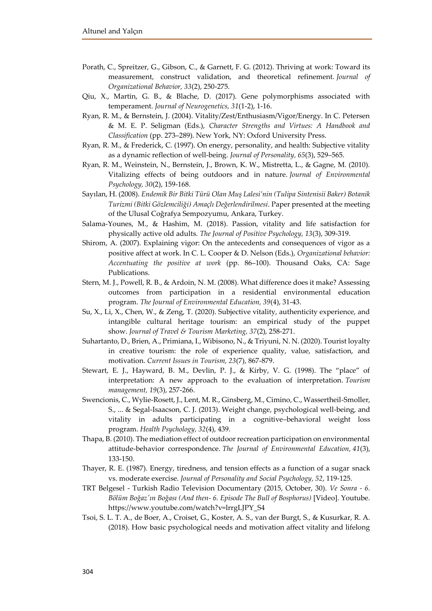- Porath, C., Spreitzer, G., Gibson, C., & Garnett, F. G. (2012). Thriving at work: Toward its measurement, construct validation, and theoretical refinement. *Journal of Organizational Behavior, 33*(2), 250-275.
- Qiu, X., Martin, G. B., & Blache, D. (2017). Gene polymorphisms associated with temperament. *Journal of Neurogenetics, 31*(1-2), 1-16.
- Ryan, R. M., & Bernstein, J. (2004). Vitality/Zest/Enthusiasm/Vigor/Energy. In C. Petersen & M. E. P. Seligman (Eds.), *Character Strengths and Virtues: A Handbook and Classification* (pp. 273–289). New York, NY: Oxford University Press.
- Ryan, R. M., & Frederick, C. (1997). On energy, personality, and health: Subjective vitality as a dynamic reflection of well‐being. *Journal of Personality, 65*(3), 529–565.
- Ryan, R. M., Weinstein, N., Bernstein, J., Brown, K. W., Mistretta, L., & Gagne, M. (2010). Vitalizing effects of being outdoors and in nature. *Journal of Environmental Psychology, 30*(2), 159-168.
- Sayılan, H. (2008). *Endemik Bir Bitki Türü Olan Muş Lalesi'nin (Tulipa Sintenisii Baker) Botanik Turizmi (Bitki Gözlemciliği) Amaçlı Değerlendirilmesi*. Paper presented at the meeting of the Ulusal Coğrafya Sempozyumu, Ankara, Turkey.
- Salama-Younes, M., & Hashim, M. (2018). Passion, vitality and life satisfaction for physically active old adults. *The Journal of Positive Psychology, 13*(3), 309-319.
- Shirom, A. (2007). Explaining vigor: On the antecedents and consequences of vigor as a positive affect at work. In C. L. Cooper & D. Nelson (Eds.), *Organizational behavior: Accentuating the positive at work* (pp. 86–100). Thousand Oaks, CA: Sage Publications.
- Stern, M. J., Powell, R. B., & Ardoin, N. M. (2008). What difference does it make? Assessing outcomes from participation in a residential environmental education program. *The Journal of Environmental Education, 39*(4), 31-43.
- Su, X., Li, X., Chen, W., & Zeng, T. (2020). Subjective vitality, authenticity experience, and intangible cultural heritage tourism: an empirical study of the puppet show. *Journal of Travel & Tourism Marketing, 37*(2), 258-271.
- Suhartanto, D., Brien, A., Primiana, I., Wibisono, N., & Triyuni, N. N. (2020). Tourist loyalty in creative tourism: the role of experience quality, value, satisfaction, and motivation. *Current Issues in Tourism, 23*(7), 867-879.
- Stewart, E. J., Hayward, B. M., Devlin, P. J., & Kirby, V. G. (1998). The "place" of interpretation: A new approach to the evaluation of interpretation. *Tourism management, 19*(3), 257-266.
- Swencionis, C., Wylie-Rosett, J., Lent, M. R., Ginsberg, M., Cimino, C., Wassertheil-Smoller, S., ... & Segal-Isaacson, C. J. (2013). Weight change, psychological well-being, and vitality in adults participating in a cognitive–behavioral weight loss program. *Health Psychology, 32*(4), 439.
- Thapa, B. (2010). The mediation effect of outdoor recreation participation on environmental attitude-behavior correspondence. *The Journal of Environmental Education, 41*(3), 133-150.
- Thayer, R. E. (1987). Energy, tiredness, and tension effects as a function of a sugar snack vs. moderate exercise. *Journal of Personality and Social Psychology, 52*, 119-125.
- TRT Belgesel Turkish Radio Television Documentary (2015, October, 30). *Ve Sonra - 6. Bölüm Boğaz'ın Boğası (And then- 6. Episode The Bull of Bosphorus)* [Video]. Youtube. https://www.youtube.com/watch?v=lrrgLJPY\_S4
- Tsoi, S. L. T. A., de Boer, A., Croiset, G., Koster, A. S., van der Burgt, S., & Kusurkar, R. A. (2018). How basic psychological needs and motivation affect vitality and lifelong